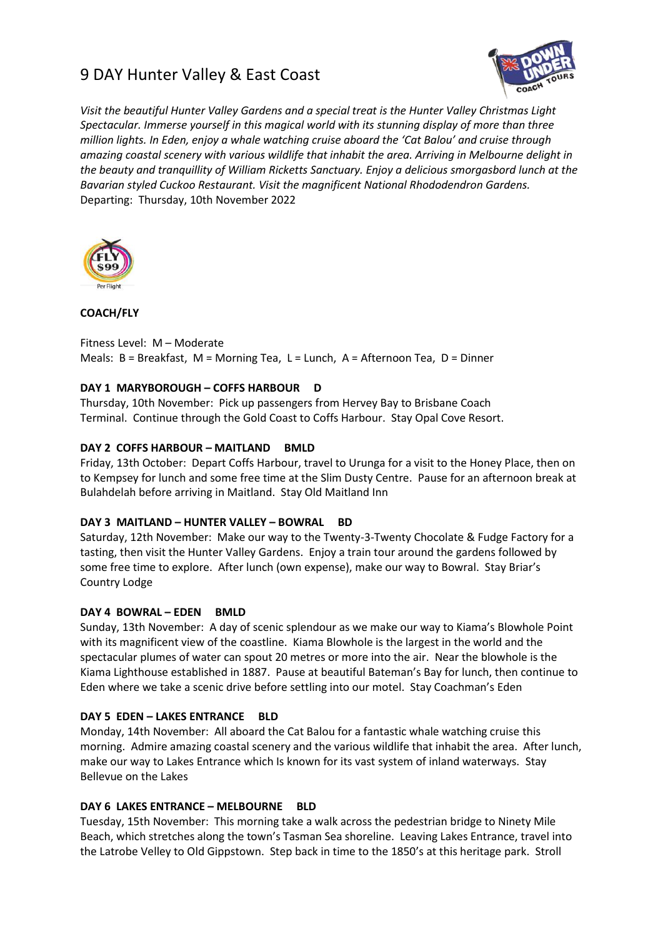# 9 DAY Hunter Valley & East Coast



*Visit the beautiful Hunter Valley Gardens and a special treat is the Hunter Valley Christmas Light Spectacular. Immerse yourself in this magical world with its stunning display of more than three million lights. In Eden, enjoy a whale watching cruise aboard the 'Cat Balou' and cruise through amazing coastal scenery with various wildlife that inhabit the area. Arriving in Melbourne delight in the beauty and tranquillity of William Ricketts Sanctuary. Enjoy a delicious smorgasbord lunch at the Bavarian styled Cuckoo Restaurant. Visit the magnificent National Rhododendron Gardens.* Departing: Thursday, 10th November 2022



# **COACH/FLY**

Fitness Level: M – Moderate Meals: B = Breakfast, M = Morning Tea, L = Lunch, A = Afternoon Tea, D = Dinner

## **DAY 1 MARYBOROUGH – COFFS HARBOUR D**

Thursday, 10th November: Pick up passengers from Hervey Bay to Brisbane Coach Terminal. Continue through the Gold Coast to Coffs Harbour. Stay Opal Cove Resort.

## **DAY 2 COFFS HARBOUR – MAITLAND BMLD**

Friday, 13th October: Depart Coffs Harbour, travel to Urunga for a visit to the Honey Place, then on to Kempsey for lunch and some free time at the Slim Dusty Centre. Pause for an afternoon break at Bulahdelah before arriving in Maitland. Stay Old Maitland Inn

#### **DAY 3 MAITLAND – HUNTER VALLEY – BOWRAL BD**

Saturday, 12th November: Make our way to the Twenty-3-Twenty Chocolate & Fudge Factory for a tasting, then visit the Hunter Valley Gardens. Enjoy a train tour around the gardens followed by some free time to explore. After lunch (own expense), make our way to Bowral. Stay Briar's Country Lodge

#### **DAY 4 BOWRAL – EDEN BMLD**

Sunday, 13th November: A day of scenic splendour as we make our way to Kiama's Blowhole Point with its magnificent view of the coastline. Kiama Blowhole is the largest in the world and the spectacular plumes of water can spout 20 metres or more into the air. Near the blowhole is the Kiama Lighthouse established in 1887. Pause at beautiful Bateman's Bay for lunch, then continue to Eden where we take a scenic drive before settling into our motel. Stay Coachman's Eden

#### **DAY 5 EDEN – LAKES ENTRANCE BLD**

Monday, 14th November: All aboard the Cat Balou for a fantastic whale watching cruise this morning. Admire amazing coastal scenery and the various wildlife that inhabit the area. After lunch, make our way to Lakes Entrance which Is known for its vast system of inland waterways. Stay Bellevue on the Lakes

#### **DAY 6 LAKES ENTRANCE – MELBOURNE BLD**

Tuesday, 15th November: This morning take a walk across the pedestrian bridge to Ninety Mile Beach, which stretches along the town's Tasman Sea shoreline. Leaving Lakes Entrance, travel into the Latrobe Velley to Old Gippstown. Step back in time to the 1850's at this heritage park. Stroll